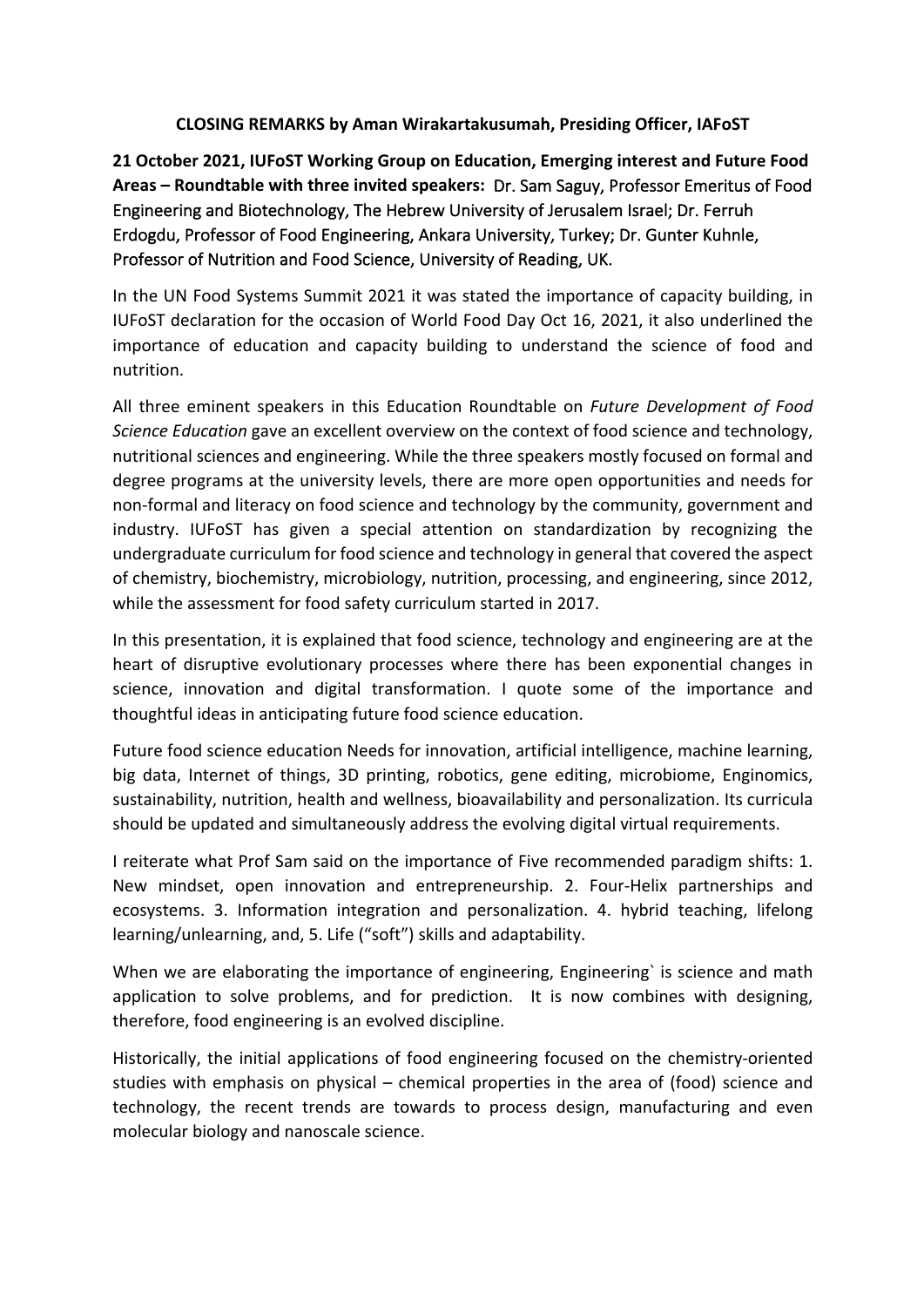## **CLOSING REMARKS by Aman Wirakartakusumah, Presiding Officer, IAFoST**

**21 October 2021, IUFoST Working Group on Education, Emerging interest and Future Food Areas – Roundtable with three invited speakers:** Dr. Sam Saguy, Professor Emeritus of Food Engineering and Biotechnology, The Hebrew University of Jerusalem Israel; Dr. Ferruh Erdogdu, Professor of Food Engineering, Ankara University, Turkey; Dr. Gunter Kuhnle, Professor of Nutrition and Food Science, University of Reading, UK.

In the UN Food Systems Summit 2021 it was stated the importance of capacity building, in IUFoST declaration for the occasion of World Food Day Oct 16, 2021, it also underlined the importance of education and capacity building to understand the science of food and nutrition.

All three eminent speakers in this Education Roundtable on *Future Development of Food Science Education* gave an excellent overview on the context of food science and technology, nutritional sciences and engineering. While the three speakers mostly focused on formal and degree programs at the university levels, there are more open opportunities and needs for non-formal and literacy on food science and technology by the community, government and industry. IUFoST has given a special attention on standardization by recognizing the undergraduate curriculum for food science and technology in general that covered the aspect of chemistry, biochemistry, microbiology, nutrition, processing, and engineering, since 2012, while the assessment for food safety curriculum started in 2017.

In this presentation, it is explained that food science, technology and engineering are at the heart of disruptive evolutionary processes where there has been exponential changes in science, innovation and digital transformation. I quote some of the importance and thoughtful ideas in anticipating future food science education.

Future food science education Needs for innovation, artificial intelligence, machine learning, big data, Internet of things, 3D printing, robotics, gene editing, microbiome, Enginomics, sustainability, nutrition, health and wellness, bioavailability and personalization. Its curricula should be updated and simultaneously address the evolving digital virtual requirements.

I reiterate what Prof Sam said on the importance of Five recommended paradigm shifts: 1. New mindset, open innovation and entrepreneurship. 2. Four-Helix partnerships and ecosystems. 3. Information integration and personalization. 4. hybrid teaching, lifelong learning/unlearning, and, 5. Life ("soft") skills and adaptability.

When we are elaborating the importance of engineering, Engineering` is science and math application to solve problems, and for prediction. It is now combines with designing, therefore, food engineering is an evolved discipline.

Historically, the initial applications of food engineering focused on the chemistry-oriented studies with emphasis on physical – chemical properties in the area of (food) science and technology, the recent trends are towards to process design, manufacturing and even molecular biology and nanoscale science.